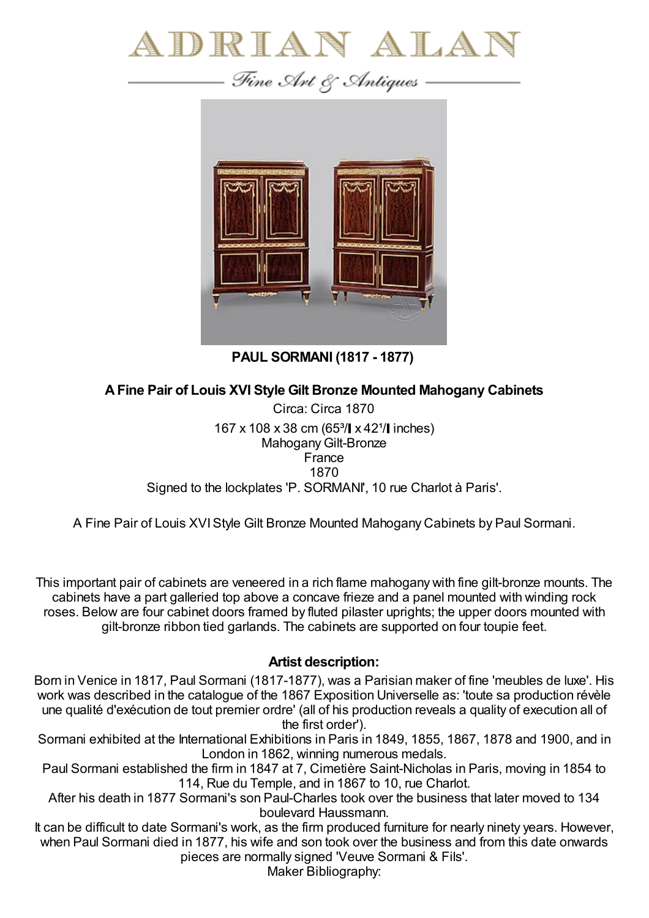

— Fine Art & Antiques –



**PAUL SORMANI (1817 - 1877)**

## **AFine Pair of Louis XVI Style Gilt Bronze Mounted Mahogany Cabinets**

Circa: Circa 1870 167 x 108 x 38 cm (65<sup>3</sup>/ x 42<sup>1</sup>/ inches) Mahogany Gilt-Bronze France 1870 Signed to the lockplates 'P. SORMANI', 10 rue Charlot à Paris'.

A Fine Pair of Louis XVIStyle Gilt Bronze Mounted Mahogany Cabinets by Paul Sormani.

This important pair of cabinets are veneered in a rich flame mahogany with fine gilt-bronze mounts. The cabinets have a part galleried top above a concave frieze and a panel mounted with winding rock roses. Below are four cabinet doors framed by fluted pilaster uprights; the upper doors mounted with gilt-bronze ribbon tied garlands. The cabinets are supported on four toupie feet.

## **Artist description:**

Born in Venice in 1817, Paul Sormani (1817-1877), was a Parisian maker of fine 'meubles de luxe'. His work was described in the catalogue of the 1867 Exposition Universelle as: 'toute sa production révèle une qualité d'exécution de tout premier ordre' (all of his production reveals a quality of execution all of the first order').

Sormani exhibited at the International Exhibitions in Paris in 1849, 1855, 1867, 1878 and 1900, and in London in 1862, winning numerous medals.

Paul Sormani established the firm in 1847 at 7, Cimetière Saint-Nicholas in Paris, moving in 1854 to 114, Rue du Temple, and in 1867 to 10, rue Charlot.

After his death in 1877 Sormani's son Paul-Charles took over the business that later moved to 134 boulevard Haussmann.

It can be difficult to date Sormani's work, as the firm produced furniture for nearly ninety years. However, when Paul Sormani died in 1877, his wife and son took over the business and from this date onwards pieces are normally signed 'Veuve Sormani & Fils'.

Maker Bibliography: